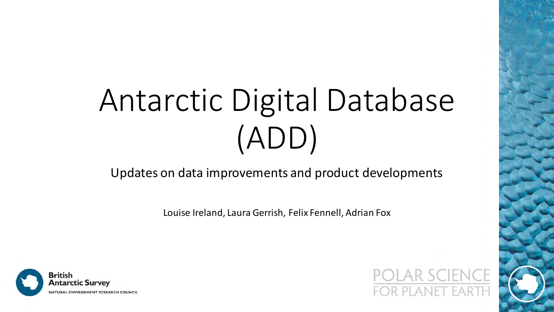# Antarctic Digital Database (ADD)

#### Updates on data improvements and product developments

Louise Ireland, Laura Gerrish, Felix Fennell, Adrian Fox



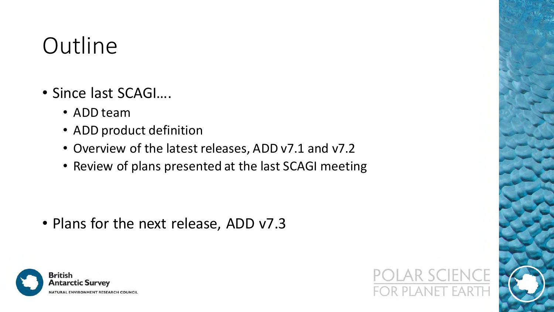#### **Outline**

- Since last SCAGI….
	- ADD team
	- ADD product definition
	- Overview of the latest releases, ADD v7.1 and v7.2
	- Review of plans presented at the last SCAGI meeting

• Plans for the next release, ADD v7.3



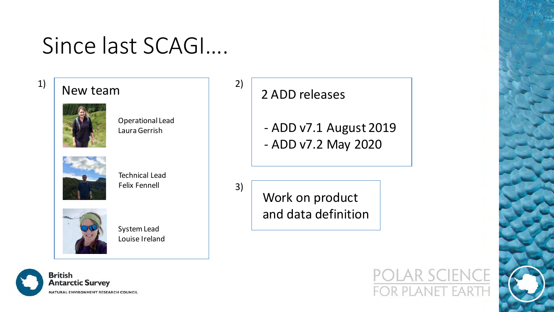#### Since last SCAGI….

#### $\left| \begin{array}{c} 1 \end{array} \right|$  New team



Operational Lead Laura Gerrish



Technical Lead Felix Fennell



System Lead Louise Ireland



 $\begin{array}{c|c} 2) & 2 \end{array}$  2 ADD releases

3)

- ADD v7.1 August 2019 - ADD v7.2 May 2020

Work on product and data definition

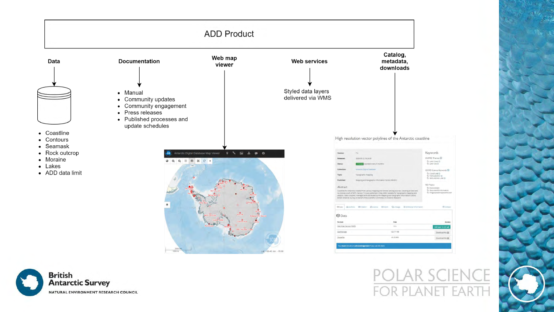

 $P()$ **FOR PLANET EART** 

> imagerybasemapsearthco

**El Contact** 

Access

dd layer to GIS ca

Download file &

Download file &

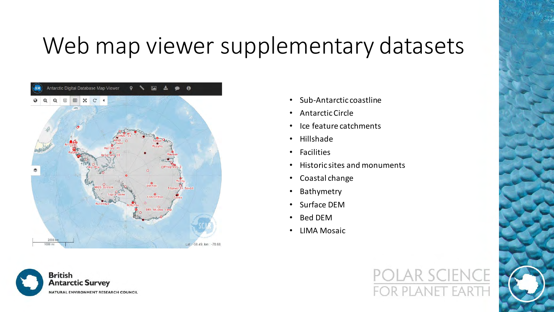#### Web map viewer supplementary datasets





- Sub-Antarctic coastline
- Antarctic Circle
- Ice feature catchments
- Hillshade
- Facilities
- Historic sites and monuments
- Coastal change
- Bathymetry
- Surface DEM
- Bed DEM
- LIMA Mosaic

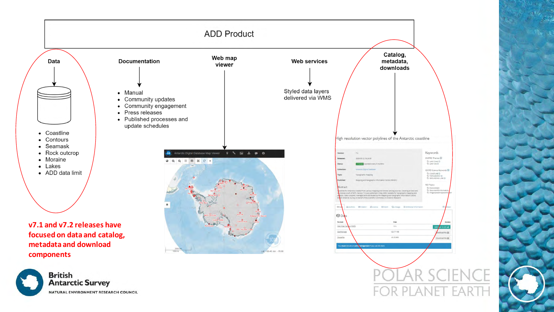

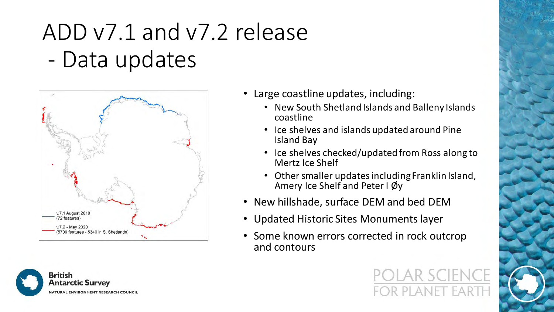## ADD v7.1 and v7.2 release - Data updates





- Large coastline updates, including:
	- New South Shetland Islands and Balleny Islands coastline
	- Ice shelves and islands updated around Pine Island Bay
	- Ice shelves checked/updated from Ross along to Mertz Ice Shelf
	- Other smaller updates including Franklin Island, Amery Ice Shelf and Peter I Øy
- New hillshade, surface DEM and bed DEM
- Updated Historic Sites Monuments layer
- Some known errors corrected in rock outcrop and contours

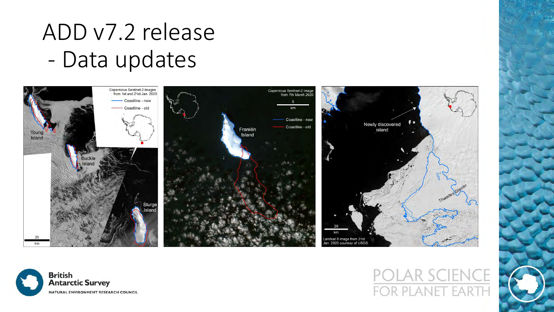#### ADD v7.2 release - Data updates





# FOR PLANET EART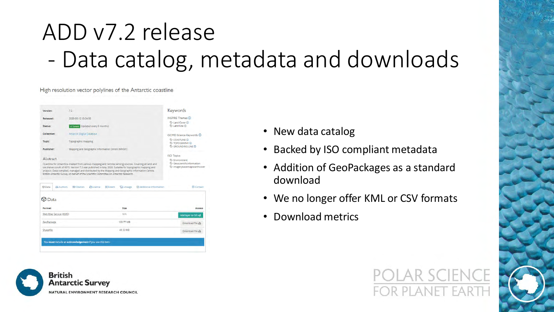## ADD v7.2 release - Data catalog, metadata and downloads

High resolution vector polylines of the Antarctic coastline





- New data catalog
- Backed by ISO compliant metadata
- Addition of GeoPackages as a standard download
- We no longer offer KML or CSV formats
- Download metrics

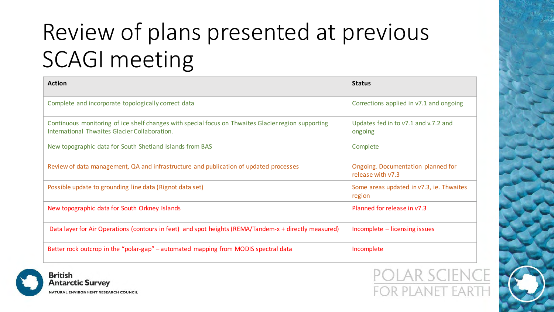## Review of plans presented at previous SCAGI meeting

| <b>Action</b>                                                                                                                                        | <b>Status</b>                                           |
|------------------------------------------------------------------------------------------------------------------------------------------------------|---------------------------------------------------------|
| Complete and incorporate topologically correct data                                                                                                  | Corrections applied in v7.1 and ongoing                 |
| Continuous monitoring of ice shelf changes with special focus on Thwaites Glacier region supporting<br>International Thwaites Glacier Collaboration. | Updates fed in to v7.1 and v.7.2 and<br>ongoing         |
| New topographic data for South Shetland Islands from BAS                                                                                             | Complete                                                |
| Review of data management, QA and infrastructure and publication of updated processes                                                                | Ongoing. Documentation planned for<br>release with v7.3 |
| Possible update to grounding line data (Rignot data set)                                                                                             | Some areas updated in v7.3, ie. Thwaites<br>region      |
| New topographic data for South Orkney Islands                                                                                                        | Planned for release in y7.3                             |
| Data layer for Air Operations (contours in feet) and spot heights (REMA/Tandem-x + directly measured)                                                | Incomplete - licensing issues                           |
| Better rock outcrop in the "polar-gap" – automated mapping from MODIS spectral data                                                                  | Incomplete                                              |



**ENCE** R PLANET FART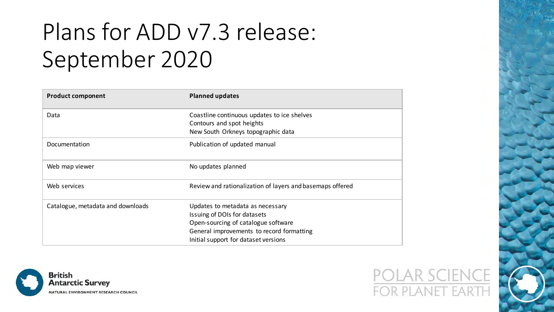### Plans for ADD v7.3 release: September 2020

| <b>Product component</b>          | <b>Planned updates</b>                                                   |
|-----------------------------------|--------------------------------------------------------------------------|
| Data                              | Coastline continuous updates to ice shelves<br>Contours and spot heights |
|                                   | New South Orkneys topographic data                                       |
| Documentation                     | Publication of updated manual                                            |
| Web map viewer                    | No updates planned                                                       |
| Web services                      | Review and rationalization of layers and basemaps offered                |
| Catalogue, metadata and downloads | Updates to metadata as necessary                                         |
|                                   | Issuing of DOIs for datasets                                             |
|                                   | Open-sourcing of catalogue software                                      |
|                                   | General improvements to record formatting                                |
|                                   | Initial support for dataset versions                                     |